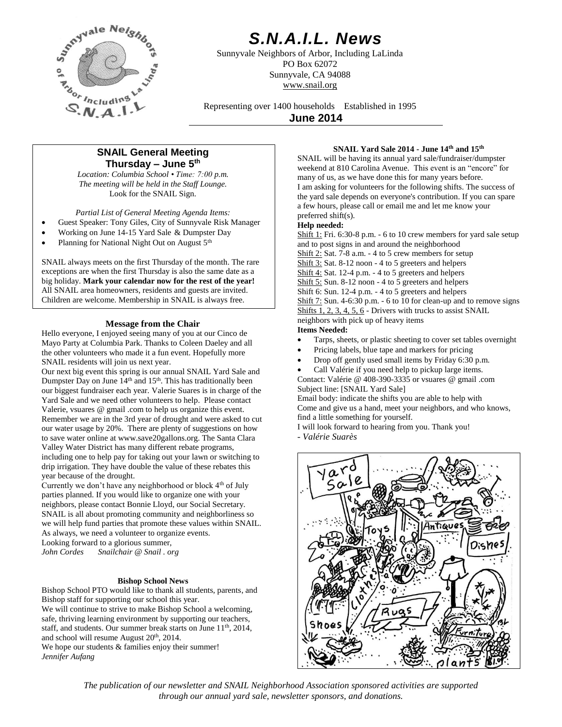

# *S.N.A.I.L. News*

Sunnyvale Neighbors of Arbor, Including LaLinda PO Box 62072 Sunnyvale, CA 94088 www.snail.org

Representing over 1400 households Established in 1995

**June 2014**

# **SNAIL General Meeting Thursday – June 5 th**

*Location: Columbia School • Time: 7:00 p.m. The meeting will be held in the Staff Lounge.* Look for the SNAIL Sign.

*Partial List of General Meeting Agenda Items:*

- Guest Speaker: Tony Giles, City of Sunnyvale Risk Manager
- Working on June 14-15 Yard Sale & Dumpster Day
- Planning for National Night Out on August 5<sup>th</sup>

SNAIL always meets on the first Thursday of the month. The rare exceptions are when the first Thursday is also the same date as a big holiday. **Mark your calendar now for the rest of the year!** All SNAIL area homeowners, residents and guests are invited. Children are welcome. Membership in SNAIL is always free.

### **Message from the Chair**

Hello everyone, I enjoyed seeing many of you at our Cinco de Mayo Party at Columbia Park. Thanks to Coleen Daeley and all the other volunteers who made it a fun event. Hopefully more SNAIL residents will join us next year.

Our next big event this spring is our annual SNAIL Yard Sale and Dumpster Day on June 14<sup>th</sup> and 15<sup>th</sup>. This has traditionally been our biggest fundraiser each year. Valerie Suares is in charge of the Yard Sale and we need other volunteers to help. Please contact Valerie, vsuares @ gmail .com to help us organize this event. Remember we are in the 3rd year of drought and were asked to cut our water usage by 20%. There are plenty of suggestions on how to save water online at www.save20gallons.org. The Santa Clara Valley Water District has many different rebate programs, including one to help pay for taking out your lawn or switching to drip irrigation. They have double the value of these rebates this year because of the drought.

Currently we don't have any neighborhood or block 4th of July parties planned. If you would like to organize one with your neighbors, please contact Bonnie Lloyd, our Social Secretary. SNAIL is all about promoting community and neighborliness so we will help fund parties that promote these values within SNAIL. As always, we need a volunteer to organize events. Looking forward to a glorious summer, *John Cordes Snailchair @ Snail . org*

#### **Bishop School News**

Bishop School PTO would like to thank all students, parents, and Bishop staff for supporting our school this year. We will continue to strive to make Bishop School a welcoming, safe, thriving learning environment by supporting our teachers, staff, and students. Our summer break starts on June 11<sup>th</sup>, 2014, and school will resume August 20th, 2014. We hope our students & families enjoy their summer! *Jennifer Aufang*

#### **SNAIL Yard Sale 2014 - June 14th and 15th**

SNAIL will be having its annual yard sale/fundraiser/dumpster weekend at 810 Carolina Avenue. This event is an "encore" for many of us, as we have done this for many years before. I am asking for volunteers for the following shifts. The success of the yard sale depends on everyone's contribution. If you can spare a few hours, please call or email me and let me know your preferred shift(s).

#### **Help needed:**

Shift 1: Fri. 6:30-8 p.m. - 6 to 10 crew members for yard sale setup and to post signs in and around the neighborhood Shift 2: Sat. 7-8 a.m. - 4 to 5 crew members for setup Shift 3: Sat. 8-12 noon - 4 to 5 greeters and helpers Shift 4: Sat. 12-4 p.m. - 4 to 5 greeters and helpers Shift 5: Sun. 8-12 noon - 4 to 5 greeters and helpers Shift 6: Sun. 12-4 p.m. - 4 to 5 greeters and helpers Shift 7: Sun. 4-6:30 p.m. - 6 to 10 for clean-up and to remove signs Shifts  $1, 2, 3, 4, 5, 6$  - Drivers with trucks to assist SNAIL neighbors with pick up of heavy items **Items Needed:**

- Tarps, sheets, or plastic sheeting to cover set tables overnight
- Pricing labels, blue tape and markers for pricing
- Drop off gently used small items by Friday 6:30 p.m.
- Call Valérie if you need help to pickup large items.

Contact: Valérie @ 408-390-3335 or vsuares @ gmail .com Subject line: [SNAIL Yard Sale]

Email body: indicate the shifts you are able to help with Come and give us a hand, meet your neighbors, and who knows, find a little something for yourself.

I will look forward to hearing from you. Thank you! *- Valérie Suarès*



*The publication of our newsletter and SNAIL Neighborhood Association sponsored activities are supported through our annual yard sale, newsletter sponsors, and donations.*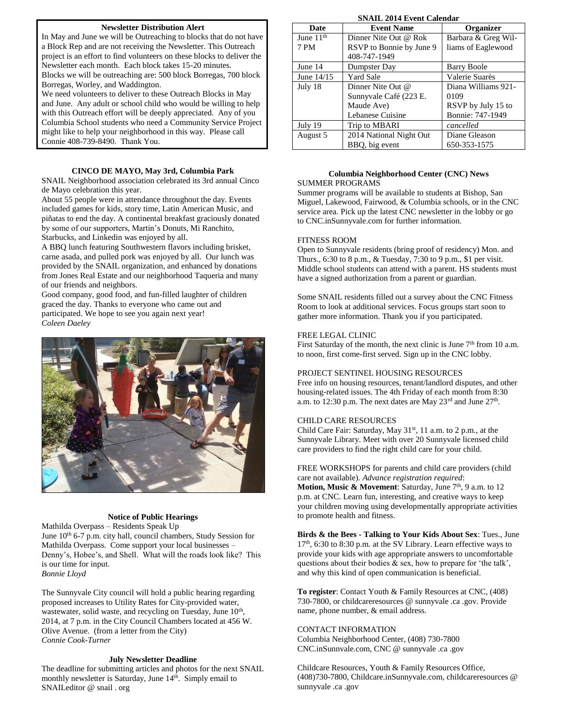#### **Newsletter Distribution Alert**

In May and June we will be Outreaching to blocks that do not have a Block Rep and are not receiving the Newsletter. This Outreach project is an effort to find volunteers on these blocks to deliver the Newsletter each month. Each block takes 15-20 minutes. Blocks we will be outreaching are: 500 block Borregas, 700 block Borregas, Worley, and Waddington.

We need volunteers to deliver to these Outreach Blocks in May and June. Any adult or school child who would be willing to help with this Outreach effort will be deeply appreciated. Any of you Columbia School students who need a Community Service Project might like to help your neighborhood in this way. Please call Connie 408-739-8490. Thank You.

#### **CINCO DE MAYO, May 3rd, Columbia Park**

SNAIL Neighborhood association celebrated its 3rd annual Cinco de Mayo celebration this year.

About 55 people were in attendance throughout the day. Events included games for kids, story time, Latin American Music, and piñatas to end the day. A continental breakfast graciously donated by some of our supporters, Martin's Donuts, Mi Ranchito, Starbucks, and Linkedin was enjoyed by all.

A BBQ lunch featuring Southwestern flavors including brisket, carne asada, and pulled pork was enjoyed by all. Our lunch was provided by the SNAIL organization, and enhanced by donations from Jones Real Estate and our neighborhood Taqueria and many of our friends and neighbors.

Good company, good food, and fun-filled laughter of children graced the day. Thanks to everyone who came out and participated. We hope to see you again next year! *Coleen Daeley*



#### **Notice of Public Hearings**

Mathilda Overpass – Residents Speak Up June  $10^{th}$  6-7 p.m. city hall, council chambers, Study Session for Mathilda Overpass. Come support your local businesses – Denny's, Hobee's, and Shell. What will the roads look like? This is our time for input.

*Bonnie Lloyd*

The Sunnyvale City council will hold a public hearing regarding proposed increases to Utility Rates for City-provided water, wastewater, solid waste, and recycling on Tuesday, June 10<sup>th</sup>, 2014, at 7 p.m. in the City Council Chambers located at 456 W. Olive Avenue. (from a letter from the City) *Connie Cook-Turner*

#### **July Newsletter Deadline**

The deadline for submitting articles and photos for the next SNAIL monthly newsletter is Saturday, June 14<sup>th</sup>. Simply email to SNAILeditor @ snail . org

**SNAIL 2014 Event Calendar**

| <b>Date</b>           | <b>Event Name</b>        | Organizer           |
|-----------------------|--------------------------|---------------------|
| June 11 <sup>th</sup> | Dinner Nite Out @ Rok    | Barbara & Greg Wil- |
| 7 PM                  | RSVP to Bonnie by June 9 | liams of Eaglewood  |
|                       | 408-747-1949             |                     |
| June 14               | Dumpster Day             | Barry Boole         |
| June 14/15            | Yard Sale                | Valerie Suarès      |
| July 18               | Dinner Nite Out @        | Diana Williams 921- |
|                       | Sunnyvale Café (223 E.   | 0109                |
|                       | Maude Ave)               | RSVP by July 15 to  |
|                       | Lebanese Cuisine         | Bonnie: 747-1949    |
| July 19               | Trip to MBARI            | cancelled           |
| August 5              | 2014 National Night Out  | Diane Gleason       |
|                       | BBQ, big event           | 650-353-1575        |

#### **Columbia Neighborhood Center (CNC) News** SUMMER PROGRAMS

Summer programs will be available to students at Bishop, San Miguel, Lakewood, Fairwood, & Columbia schools, or in the CNC service area. Pick up the latest CNC newsletter in the lobby or go to CNC.inSunnyvale.com for further information.

#### FITNESS ROOM

Open to Sunnyvale residents (bring proof of residency) Mon. and Thurs., 6:30 to 8 p.m., & Tuesday, 7:30 to 9 p.m., \$1 per visit. Middle school students can attend with a parent. HS students must have a signed authorization from a parent or guardian.

Some SNAIL residents filled out a survey about the CNC Fitness Room to look at additional services. Focus groups start soon to gather more information. Thank you if you participated.

#### FREE LEGAL CLINIC

First Saturday of the month, the next clinic is June  $7<sup>th</sup>$  from 10 a.m. to noon, first come-first served. Sign up in the CNC lobby.

#### PROJECT SENTINEL HOUSING RESOURCES

Free info on housing resources, tenant/landlord disputes, and other housing-related issues. The 4th Friday of each month from 8:30 a.m. to 12:30 p.m. The next dates are May  $23<sup>rd</sup>$  and June  $27<sup>th</sup>$ .

#### CHILD CARE RESOURCES

Child Care Fair: Saturday, May 31<sup>st</sup>, 11 a.m. to 2 p.m., at the Sunnyvale Library. Meet with over 20 Sunnyvale licensed child care providers to find the right child care for your child.

FREE WORKSHOPS for parents and child care providers (child care not available). *Advance registration required*:

**Motion, Music & Movement**: Saturday, June 7<sup>th</sup>, 9 a.m. to 12 p.m. at CNC. Learn fun, interesting, and creative ways to keep your children moving using developmentally appropriate activities to promote health and fitness.

**Birds & the Bees - Talking to Your Kids About Sex**: Tues., June 17<sup>th</sup>, 6:30 to 8:30 p.m. at the SV Library. Learn effective ways to provide your kids with age appropriate answers to uncomfortable questions about their bodies & sex, how to prepare for 'the talk', and why this kind of open communication is beneficial.

**To register**: Contact Youth & Family Resources at CNC, (408) 730-7800, or childcareresources @ sunnyvale .ca .gov. Provide name, phone number, & email address.

#### CONTACT INFORMATION

Columbia Neighborhood Center, (408) 730-7800 CNC.inSunnvale.com, CNC @ sunnyvale .ca .gov

Childcare Resources, Youth & Family Resources Office, (408)730-7800, Childcare.inSunnyvale.com, childcareresources @ sunnyvale .ca .gov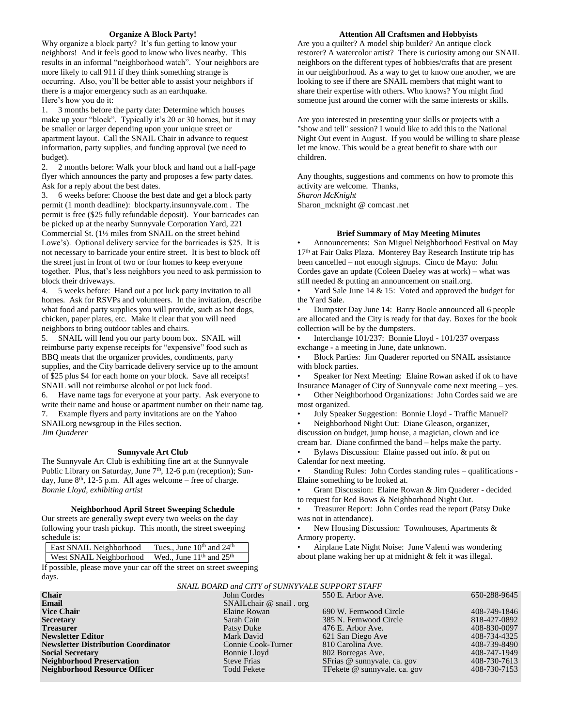#### **Organize A Block Party!**

Why organize a block party? It's fun getting to know your neighbors! And it feels good to know who lives nearby. This results in an informal "neighborhood watch". Your neighbors are more likely to call 911 if they think something strange is occurring. Also, you'll be better able to assist your neighbors if there is a major emergency such as an earthquake. Here's how you do it:

1. 3 months before the party date: Determine which houses make up your "block". Typically it's 20 or 30 homes, but it may be smaller or larger depending upon your unique street or apartment layout. Call the SNAIL Chair in advance to request information, party supplies, and funding approval (we need to budget).

2. 2 months before: Walk your block and hand out a half-page flyer which announces the party and proposes a few party dates. Ask for a reply about the best dates.

3. 6 weeks before: Choose the best date and get a block party permit (1 month deadline): blockparty.insunnyvale.com . The permit is free (\$25 fully refundable deposit). Your barricades can be picked up at the nearby Sunnyvale Corporation Yard, 221 Commercial St. (1½ miles from SNAIL on the street behind Lowe's). Optional delivery service for the barricades is \$25. It is not necessary to barricade your entire street. It is best to block off the street just in front of two or four homes to keep everyone together. Plus, that's less neighbors you need to ask permission to block their driveways.

4. 5 weeks before: Hand out a pot luck party invitation to all homes. Ask for RSVPs and volunteers. In the invitation, describe what food and party supplies you will provide, such as hot dogs, chicken, paper plates, etc. Make it clear that you will need neighbors to bring outdoor tables and chairs.

5. SNAIL will lend you our party boom box. SNAIL will reimburse party expense receipts for "expensive" food such as BBQ meats that the organizer provides, condiments, party supplies, and the City barricade delivery service up to the amount of \$25 plus \$4 for each home on your block. Save all receipts! SNAIL will not reimburse alcohol or pot luck food.

6. Have name tags for everyone at your party. Ask everyone to write their name and house or apartment number on their name tag.

7. Example flyers and party invitations are on the Yahoo SNAILorg newsgroup in the Files section. *Jim Quaderer*

#### **Sunnyvale Art Club**

The Sunnyvale Art Club is exhibiting fine art at the Sunnyvale Public Library on Saturday, June  $7<sup>th</sup>$ , 12-6 p.m (reception); Sunday, June  $8<sup>th</sup>$ , 12-5 p.m. All ages welcome – free of charge. *Bonnie Lloyd, exhibiting artist*

#### **Neighborhood April Street Sweeping Schedule**

Our streets are generally swept every two weeks on the day following your trash pickup. This month, the street sweeping schedule is:

| East SNAIL Neighborhood                                                    | Tues., June $10^{th}$ and $24^{th}$ |
|----------------------------------------------------------------------------|-------------------------------------|
| West SNAIL Neighborhood   Wed., June 11 <sup>th</sup> and 25 <sup>th</sup> |                                     |

If possible, please move your car off the street on street sweeping days.

#### **Attention All Craftsmen and Hobbyists**

Are you a quilter? A model ship builder? An antique clock restorer? A watercolor artist? There is curiosity among our SNAIL neighbors on the different types of hobbies/crafts that are present in our neighborhood. As a way to get to know one another, we are looking to see if there are SNAIL members that might want to share their expertise with others. Who knows? You might find someone just around the corner with the same interests or skills.

Are you interested in presenting your skills or projects with a "show and tell" session? I would like to add this to the National Night Out event in August. If you would be willing to share please let me know. This would be a great benefit to share with our children.

Any thoughts, suggestions and comments on how to promote this activity are welcome. Thanks,

*Sharon McKnight*

Sharon\_mcknight @ comcast .net

#### **Brief Summary of May Meeting Minutes**

• Announcements: San Miguel Neighborhood Festival on May 17th at Fair Oaks Plaza. Monterey Bay Research Institute trip has been cancelled – not enough signups. Cinco de Mayo: John Cordes gave an update (Coleen Daeley was at work) – what was still needed & putting an announcement on snail.org.

Yard Sale June 14  $&$  15: Voted and approved the budget for the Yard Sale.

• Dumpster Day June 14: Barry Boole announced all 6 people are allocated and the City is ready for that day. Boxes for the book collection will be by the dumpsters.

• Interchange 101/237: Bonnie Lloyd - 101/237 overpass exchange - a meeting in June, date unknown.

• Block Parties: Jim Quaderer reported on SNAIL assistance with block parties.

Speaker for Next Meeting: Elaine Rowan asked if ok to have Insurance Manager of City of Sunnyvale come next meeting – yes.

• Other Neighborhood Organizations: John Cordes said we are most organized.

• July Speaker Suggestion: Bonnie Lloyd - Traffic Manuel?

• Neighborhood Night Out: Diane Gleason, organizer, discussion on budget, jump house, a magician, clown and ice

cream bar. Diane confirmed the band – helps make the party. • Bylaws Discussion: Elaine passed out info. & put on Calendar for next meeting.

• Standing Rules: John Cordes standing rules – qualifications - Elaine something to be looked at.

• Grant Discussion: Elaine Rowan & Jim Quaderer - decided to request for Red Bows & Neighborhood Night Out.

• Treasurer Report: John Cordes read the report (Patsy Duke was not in attendance).

New Housing Discussion: Townhouses, Apartments & Armory property.

• Airplane Late Night Noise: June Valenti was wondering about plane waking her up at midnight & felt it was illegal.

| SINAIL DUARD and CITT OF SUINNTVALE SUPPURT STAPP |                          |                              |              |
|---------------------------------------------------|--------------------------|------------------------------|--------------|
| <b>Chair</b>                                      | John Cordes              | 550 E. Arbor Ave.            | 650-288-9645 |
| Email                                             | SNAILchair @ snail . org |                              |              |
| <b>Vice Chair</b>                                 | Elaine Rowan             | 690 W. Fernwood Circle       | 408-749-1846 |
| Secretary                                         | Sarah Cain               | 385 N. Fernwood Circle       | 818-427-0892 |
| Treasurer                                         | Patsy Duke               | 476 E. Arbor Ave.            | 408-830-0097 |
| <b>Newsletter Editor</b>                          | Mark David               | 621 San Diego Ave            | 408-734-4325 |
| <b>Newsletter Distribution Coordinator</b>        | Connie Cook-Turner       | 810 Carolina Ave.            | 408-739-8490 |
| <b>Social Secretary</b>                           | Bonnie Lloyd             | 802 Borregas Ave.            | 408-747-1949 |
| <b>Neighborhood Preservation</b>                  | <b>Steve Frias</b>       | SFrias @ sunnyvale. ca. gov  | 408-730-7613 |
| Neighborhood Resource Officer                     | <b>Todd Fekete</b>       | TFekete @ sunnyvale. ca. gov | 408-730-7153 |
|                                                   |                          |                              |              |

## *SNAIL BOARD and CITY of SUNNYVALE SUPPORT STAFF*